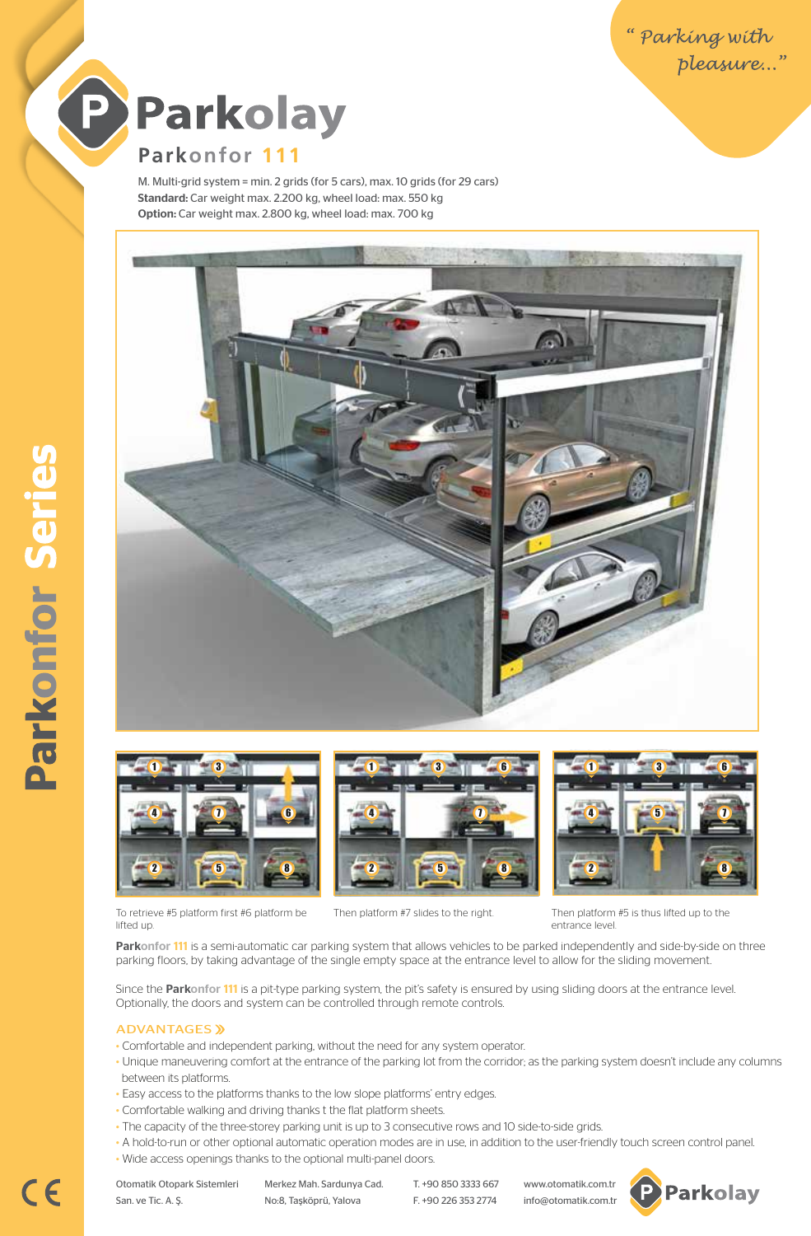



# **Parkonfor 111**

M. Multi-grid system = min. 2 grids (for 5 cars), max. 10 grids (for 29 cars) Standard: Car weight max. 2.200 kg, wheel load: max. 550 kg Option: Car weight max. 2.800 kg, wheel load: max. 700 kg





To retrieve #5 platform first #6 platform be





Then platform #7 slides to the right. Then platform #5 is thus lifted up to the entrance level.

Parkonfor 111 is a semi-automatic car parking system that allows vehicles to be parked independently and side-by-side on three parking floors, by taking advantage of the single empty space at the entrance level to allow for the sliding movement.

Since the Parkonfor 111 is a pit-type parking system, the pit's safety is ensured by using sliding doors at the entrance level. Optionally, the doors and system can be controlled through remote controls.

#### ADVANTAGES

lifted up.

- Comfortable and independent parking, without the need for any system operator.
- Unique maneuvering comfort at the entrance of the parking lot from the corridor; as the parking system doesn't include any columns between its platforms.
- Easy access to the platforms thanks to the low slope platforms' entry edges.
- Comfortable walking and driving thanks t the flat platform sheets.
- The capacity of the three-storey parking unit is up to 3 consecutive rows and 10 side-to-side grids.
- A hold-to-run or other optional automatic operation modes are in use, in addition to the user-friendly touch screen control panel.
- Wide access openings thanks to the optional multi-panel doors.

San. ve Tic. A. Ş. No:8, Taşköprü, Yalova F. +90 226 353 2774 info@otomatik.com.tr

Otomatik Otopark Sistemleri Merkez Mah. Sardunya Cad. T. +90 850 3333 667 www.otomatik.com.tr



 $C<sub>6</sub>$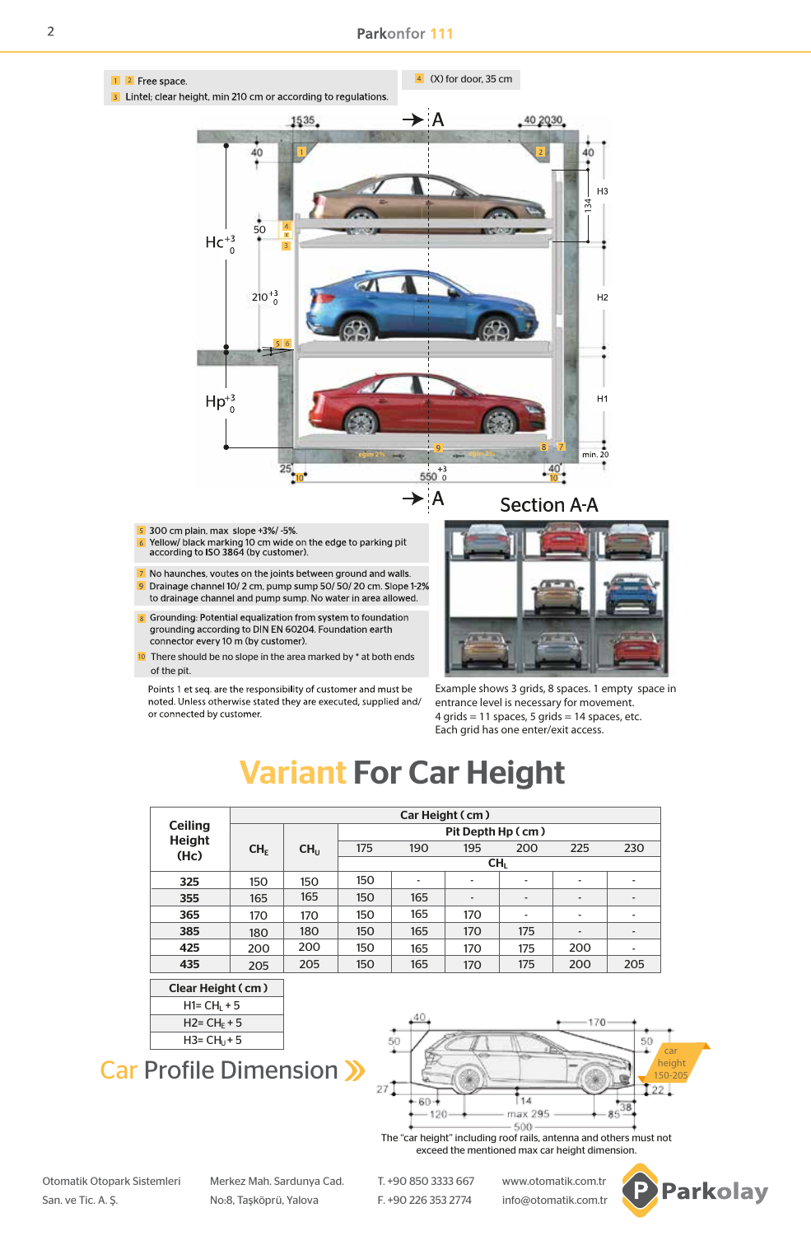

Points 1 et seq. are the responsibility of customer and must be noted. Unless otherwise stated they are executed, supplied and/ or connected by customer.

Example shows 3 grids, 8 spaces. 1 empty space in entrance level is necessary for movement. 4 grids = 11 spaces, 5 grids = 14 spaces, etc. Each grid has one enter/exit access.

# Variant For Car Height

| <b>Ceiling</b><br><b>Height</b><br>(Hc) | Car Height (cm) |                  |                   |                          |                |                          |                              |                |
|-----------------------------------------|-----------------|------------------|-------------------|--------------------------|----------------|--------------------------|------------------------------|----------------|
|                                         |                 | CH <sub>II</sub> | Pit Depth Hp (cm) |                          |                |                          |                              |                |
|                                         | CH <sub>F</sub> |                  | 175               | 190                      | 195            | 200                      | 225                          | 230            |
|                                         |                 |                  | CH <sub>1</sub>   |                          |                |                          |                              |                |
| 325                                     | 150             | 150              | 150               | $\overline{\phantom{0}}$ | $\blacksquare$ | $\blacksquare$           | $\overline{\phantom{0}}$     |                |
| 355                                     | 165             | 165              | 150               | 165                      |                | $\overline{\phantom{0}}$ | $\qquad \qquad \blacksquare$ |                |
| 365                                     | 170             | 170              | 150               | 165                      | 170            | $\overline{\phantom{a}}$ | $\overline{\phantom{0}}$     | $\blacksquare$ |
| 385                                     | 180             | 180              | 150               | 165                      | 170            | 175                      | $\overline{\phantom{a}}$     | $\blacksquare$ |
| 425                                     | 200             | 200              | 150               | 165                      | 170            | 175                      | 200                          |                |
| 435                                     | 205             | 205              | 150               | 165                      | 170            | 175                      | 200                          | 205            |





# Car Profile Dimension >>



The "car height" including roof rails, antenna and others must not exceed the mentioned max car height dimension.

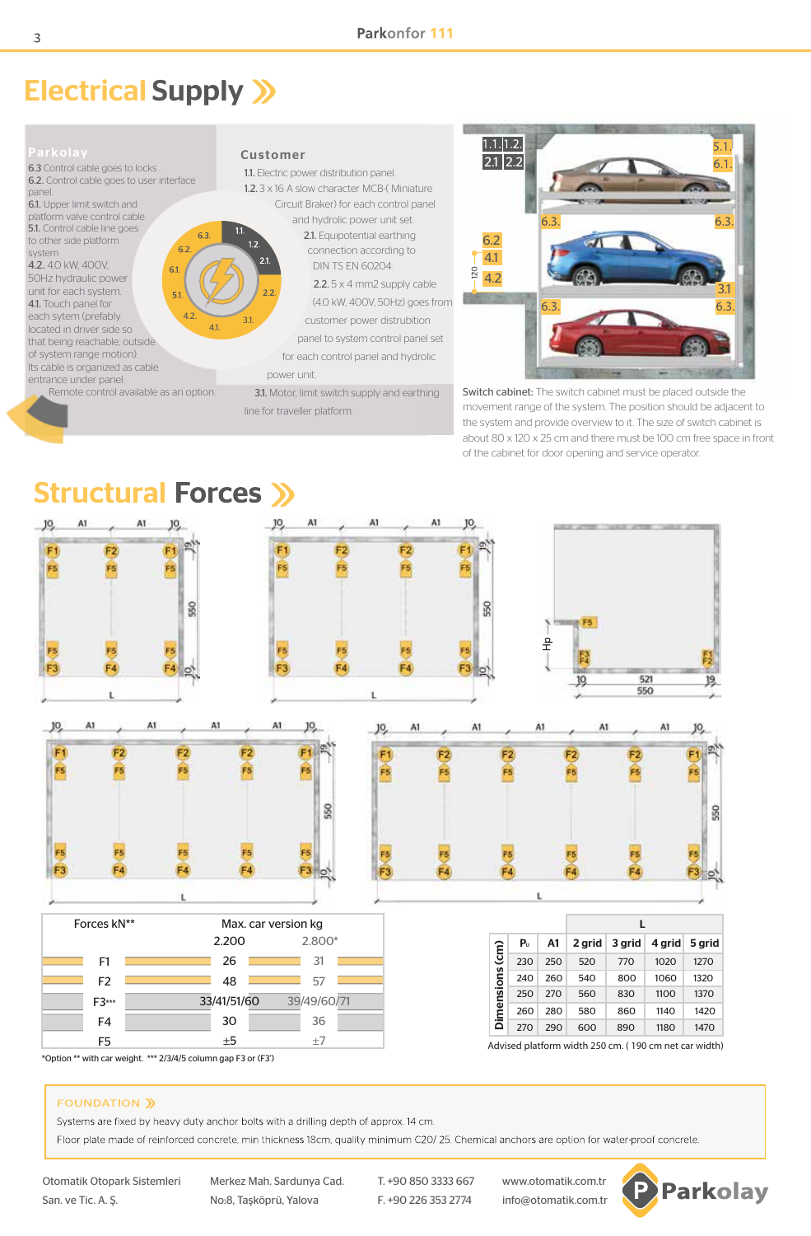# Electrical Supply >>





Switch cabinet: The switch cabinet must be placed outside the movement range of the system. The position should be adjacent to the system and provide overview to it. The size of switch cabinet is about 80 x 120 x 25 cm and there must be 100 cm free space in front of the cabinet for door opening and service operator.



\*Option \*\* with car weight. \*\*\* 2/3/4/5 column gap F3 or (F3')

#### **FOUNDATION »**

Systems are fixed by heavy duty anchor bolts with a drilling depth of approx. 14 cm.

Floor plate made of reinforced concrete, min thickness 18cm, quality minimum C2O/25. Chemical anchors are option for water-proof concrete.

Otomatik Otopark Sistemleri Merkez Mah. Sardunya Cad. T. +90 850 3333 667 www.otomatik.com.tr San. ve Tic. A. Ş. No:8, Taşköprü, Yalova F. +90 226 353 2774 info@otomatik.com.tr

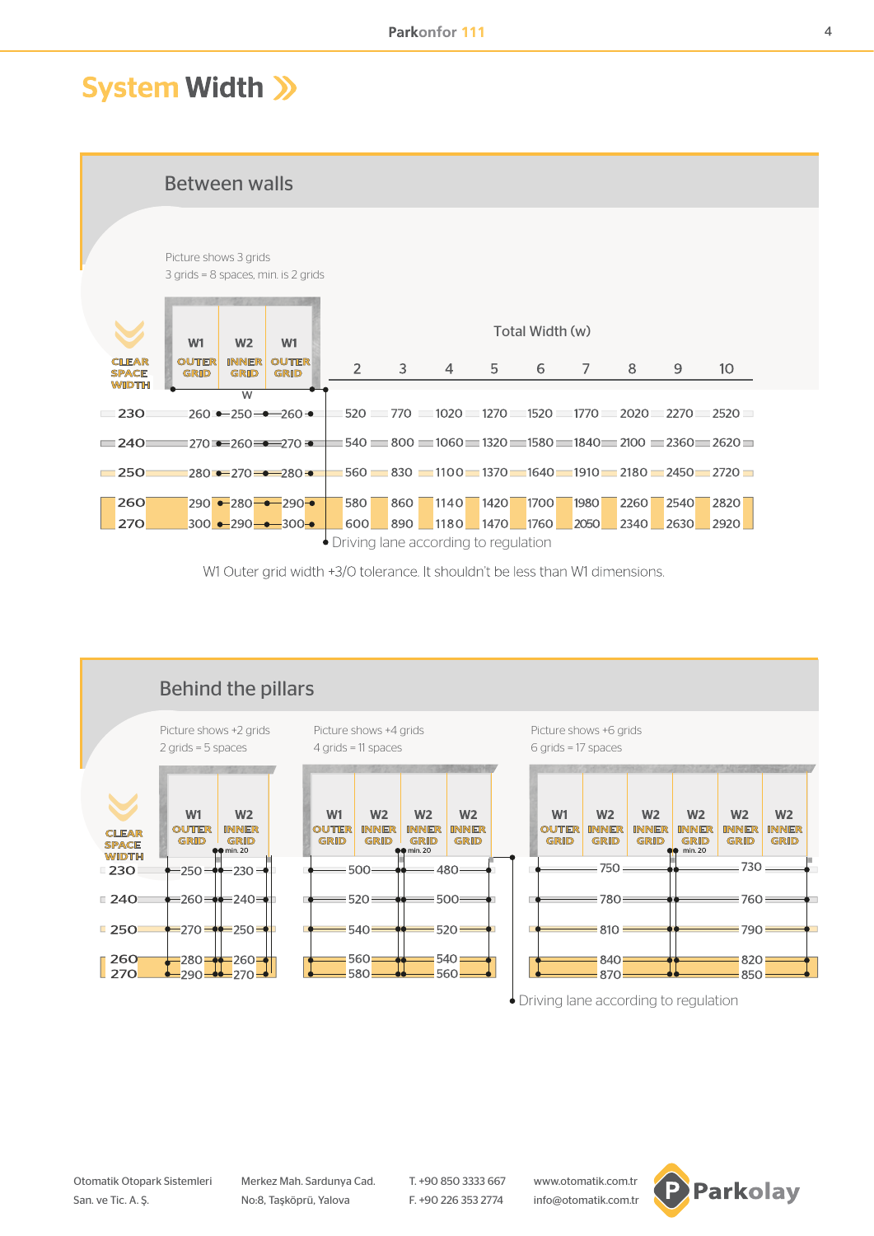# **System Width >>**

Between walls Picture shows 3 grids 3 grids = 8 spaces, min. is 2 grids Total Width (w)  $W<sub>1</sub>$  $W<sub>2</sub>$  $W1$ **CIFAR OUTER INNER OUTER**  $\overline{2}$ 3 5  $\overline{7}$  $10$  $\overline{4}$ 6 8 9 SPACE GRID GRID GRID **WIDTH**  $\overline{\mathbf{u}}$ 520 770 1020 1270 1520 1770 2020 2270 2520  $\Box$ 230  $260 - 250 - 260$  $\equiv$  540  $\equiv$  800  $\equiv$  1060  $\equiv$  1320  $\equiv$  1580  $\equiv$  1840  $\equiv$  2100  $\equiv$  2360  $\equiv$  2620  $\equiv$  $= 240$  $1270 = 260 = 270$  $=250$  $1560 = 830 = 1100 = 1370 = 1640 = 1910 = 2180 = 2450 = 2720$  $280 - 270 - 280$ 260  $290 - 280 - 290 -$ 580  $7420$ 1700 1980 2260 2540 860  $1140$ 2820 270 300 - 290 - 300 -600 890 1180 1470 1760 2050 2340 2630 2920 Driving lane according to regulation

W1 Outer grid width +3/O tolerance. It shouldn't be less than W1 dimensions.



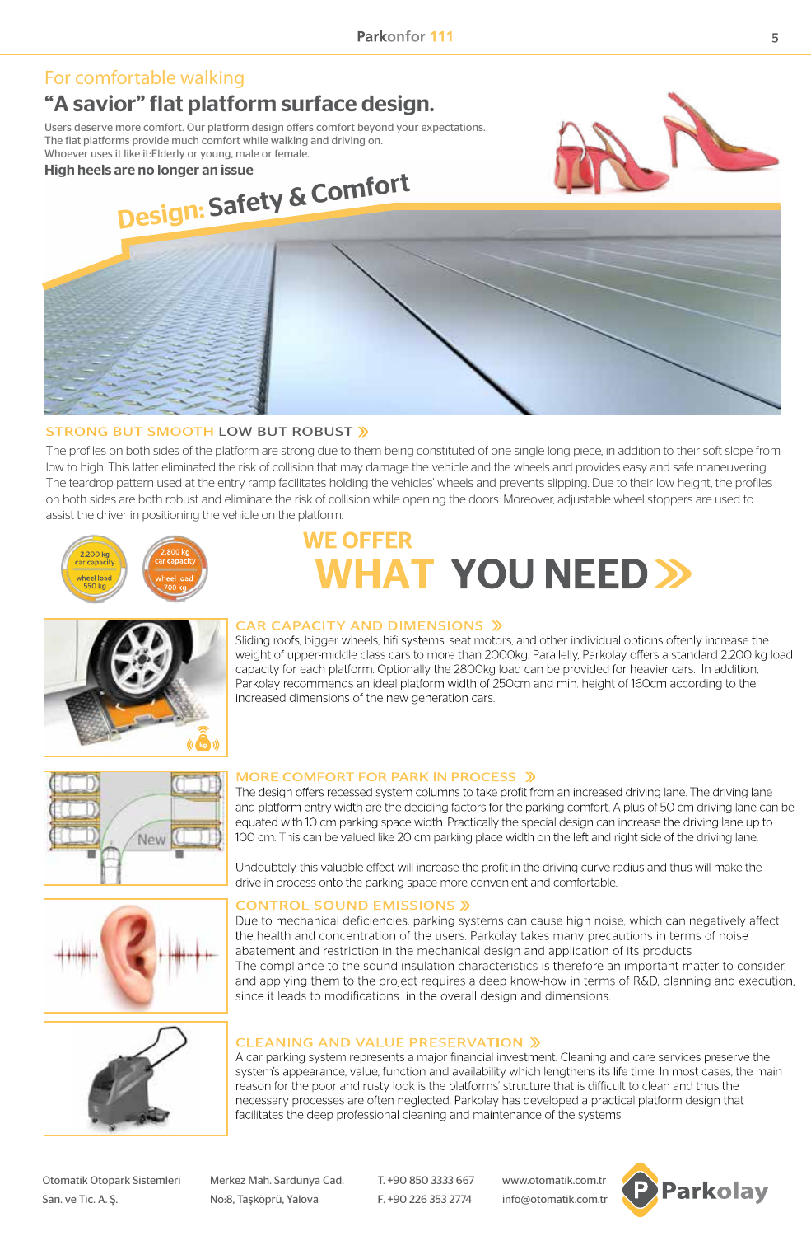# For comfortable walking "A savior" flat platform surface design.

Users deserve more comfort. Our platform design offers comfort beyond your expectations. The flat platforms provide much comfort while walking and driving on. Whoever uses it like it:Elderly or young, male or female.

High heels are no longer an issue





# STRONG BUT SMOOTH LOW BUT ROBUST »

The profiles on both sides of the platform are strong due to them being constituted of one single long piece, in addition to their soft slope from low to high. This latter eliminated the risk of collision that may damage the vehicle and the wheels and provides easy and safe maneuvering. The teardrop pattern used at the entry ramp facilitates holding the vehicles' wheels and prevents slipping. Due to their low height, the profiles on both sides are both robust and eliminate the risk of collision while opening the doors. Moreover, adjustable wheel stoppers are used to assist the driver in positioning the vehicle on the platform.



# **WF OFFFR WHAT YOU NEED >>**



# **CAR CAPACITY AND DIMENSIONS »**

Sliding roofs, bigger wheels, hifi systems, seat motors, and other individual options oftenly increase the weight of upper-middle class cars to more than 2000kg. Parallelly, Parkolay offers a standard 2.200 kg load capacity for each platform. Optionally the 2800kg load can be provided for heavier cars. In addition, Parkolay recommends an ideal platform width of 250cm and min. height of 160cm according to the increased dimensions of the new generation cars.







#### MORE COMFORT FOR PARK IN PROCESS »

The design offers recessed system columns to take profit from an increased driving lane. The driving lane and platform entry width are the deciding factors for the parking comfort. A plus of 50 cm driving lane can be equated with 10 cm parking space width. Practically the special design can increase the driving lane up to 100 cm. This can be valued like 20 cm parking place width on the left and right side of the driving lane.

Undoubtely, this valuable effect will increase the profit in the driving curve radius and thus will make the drive in process onto the parking space more convenient and comfortable.

# **CONTROL SOUND EMISSIONS »**

Due to mechanical deficiencies, parking systems can cause high noise, which can negatively affect the health and concentration of the users. Parkolay takes many precautions in terms of noise abatement and restriction in the mechanical design and application of its products The compliance to the sound insulation characteristics is therefore an important matter to consider, and applying them to the project requires a deep know-how in terms of R&D, planning and execution, since it leads to modifications in the overall design and dimensions.

#### **CLEANING AND VALUE PRESERVATION »**

A car parking system represents a major financial investment. Cleaning and care services preserve the system's appearance, value, function and availability which lengthens its life time. In most cases, the main reason for the poor and rusty look is the platforms' structure that is difficult to clean and thus the necessary processes are often neglected. Parkolay has developed a practical platform design that facilitates the deep professional cleaning and maintenance of the systems.

Otomatik Otopark Sistemleri Merkez Mah. Sardunya Cad. T. +90 850 3333 667 www.otomatik.com.tr San. ve Tic. A. Ş. No:8, Taşköprü, Yalova F. +90 226 353 2774 info@otomatik.com.tr

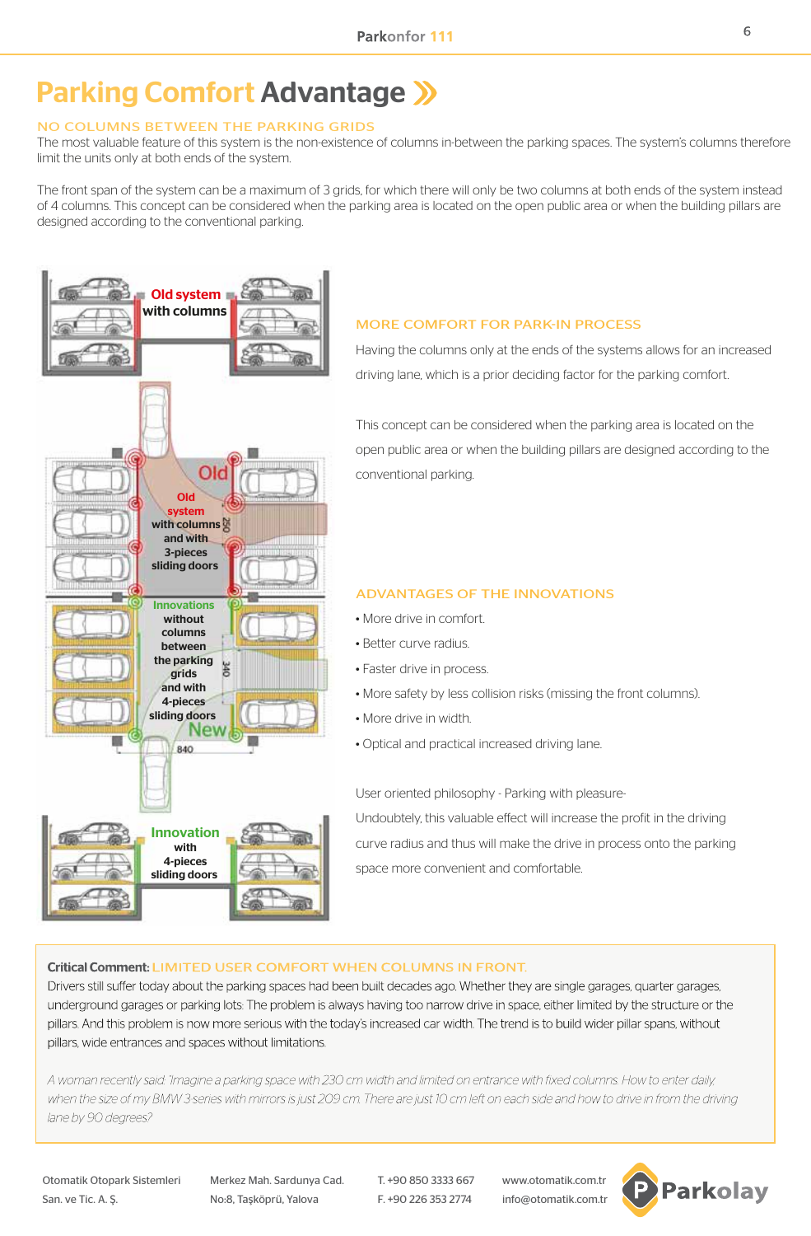# Parking Comfort Advantage >>>

# NO COLUMNS BETWEEN THE PARKING GRIDS

The most valuable feature of this system is the non-existence of columns in-between the parking spaces. The system's columns therefore limit the units only at both ends of the system.

The front span of the system can be a maximum of 3 grids, for which there will only be two columns at both ends of the system instead of 4 columns. This concept can be considered when the parking area is located on the open public area or when the building pillars are designed according to the conventional parking.



# MORE COMFORT FOR PARK-IN PROCESS

Having the columns only at the ends of the systems allows for an increased driving lane, which is a prior deciding factor for the parking comfort.

This concept can be considered when the parking area is located on the open public area or when the building pillars are designed according to the conventional parking.

# ADVANTAGES OF THE INNOVATIONS

- More drive in comfort.
- Better curve radius.
- Faster drive in process.
- More safety by less collision risks (missing the front columns).
- More drive in width.
- Optical and practical increased driving lane.

User oriented philosophy - Parking with pleasure-Undoubtely, this valuable effect will increase the profit in the driving curve radius and thus will make the drive in process onto the parking space more convenient and comfortable.

# Critical Comment: LIMITED USER COMFORT WHEN COLUMNS IN FRONT.

Drivers still suffer today about the parking spaces had been built decades ago. Whether they are single garages, quarter garages, underground garages or parking lots. The problem is always having too narrow drive in space, either limited by the structure or the pillars. And this problem is now more serious with the today's increased car width. The trend is to build wider pillar spans, without pillars, wide entrances and spaces without limitations.

A woman recently said: "Imagine a parking space with 230 cm width and limited on entrance with fixed columns. How to enter daily, when the size of my BMW 3-series with mirrors is just 209 cm. There are just 10 cm left on each side and how to drive in from the driving lane by 90 degrees?

Otomatik Otopark Sistemleri Merkez Mah. Sardunya Cad. T. +90 850 3333 667 www.otomatik.com.tr

San. ve Tic. A. Ş. No:8, Taşköprü, Yalova F. +90 226 353 2774 info@otomatik.com.tr

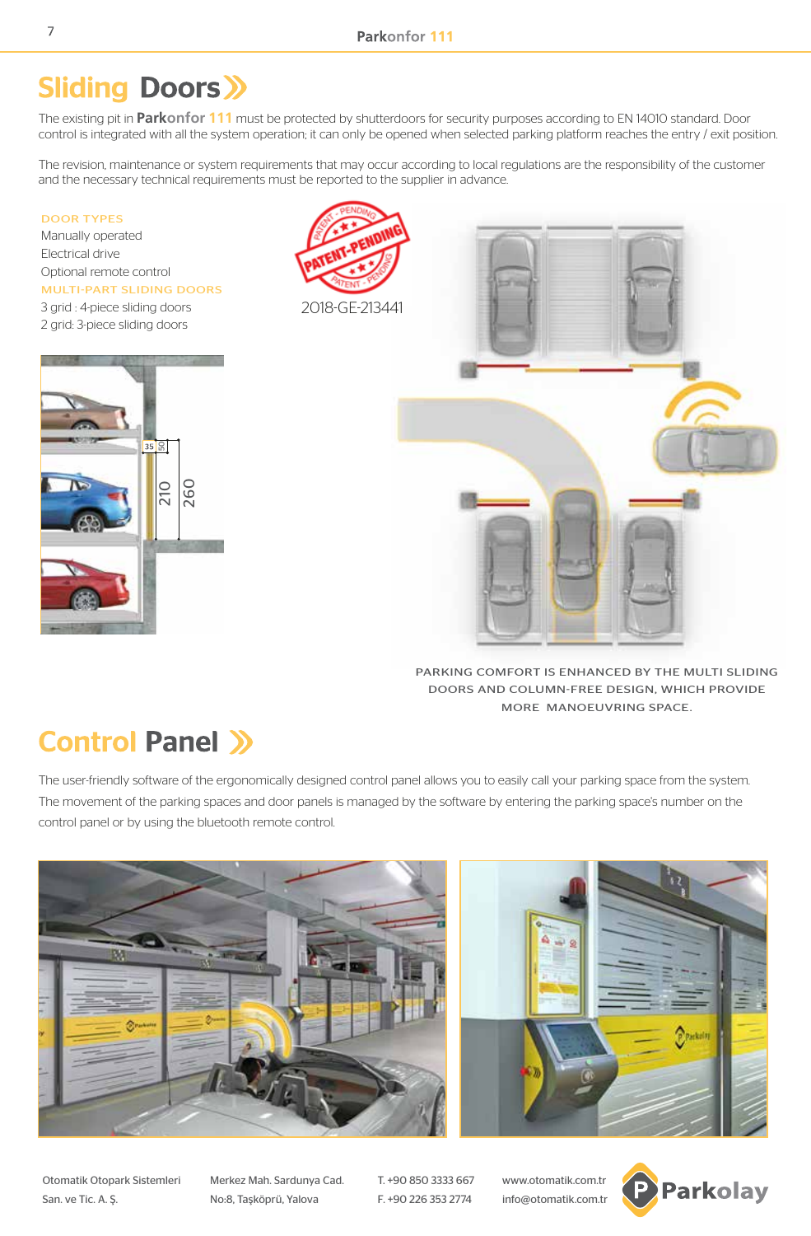# **Sliding Doors >>**

The existing pit in **Parkonfor 111** must be protected by shutterdoors for security purposes according to EN 14010 standard. Door control is integrated with all the system operation; it can only be opened when selected parking platform reaches the entry / exit position.

The revision, maintenance or system requirements that may occur according to local regulations are the responsibility of the customer and the necessary technical requirements must be reported to the supplier in advance.

#### DOOR TYPES

Manually operated Electrical drive Optional remote control MULTI-PART SLIDING DOORS 3 grid : 4-piece sliding doors 2 grid: 3-piece sliding doors







PARKING COMFORT IS ENHANCED BY THE MULTI SLIDING DOORS AND COLUMN-FREE DESIGN, WHICH PROVIDE MORE MANOEUVRING SPACE.

# **Control Panel >>**

The user-friendly software of the ergonomically designed control panel allows you to easily call your parking space from the system. The movement of the parking spaces and door panels is managed by the software by entering the parking space's number on the control panel or by using the bluetooth remote control.



Otomatik Otopark Sistemleri Merkez Mah. Sardunya Cad. T. +90 850 3333 667 www.otomatik.com.tr San. ve Tic. A. Ş. No:8, Taşköprü, Yalova F. +90 226 353 2774 info@otomatik.com.tr